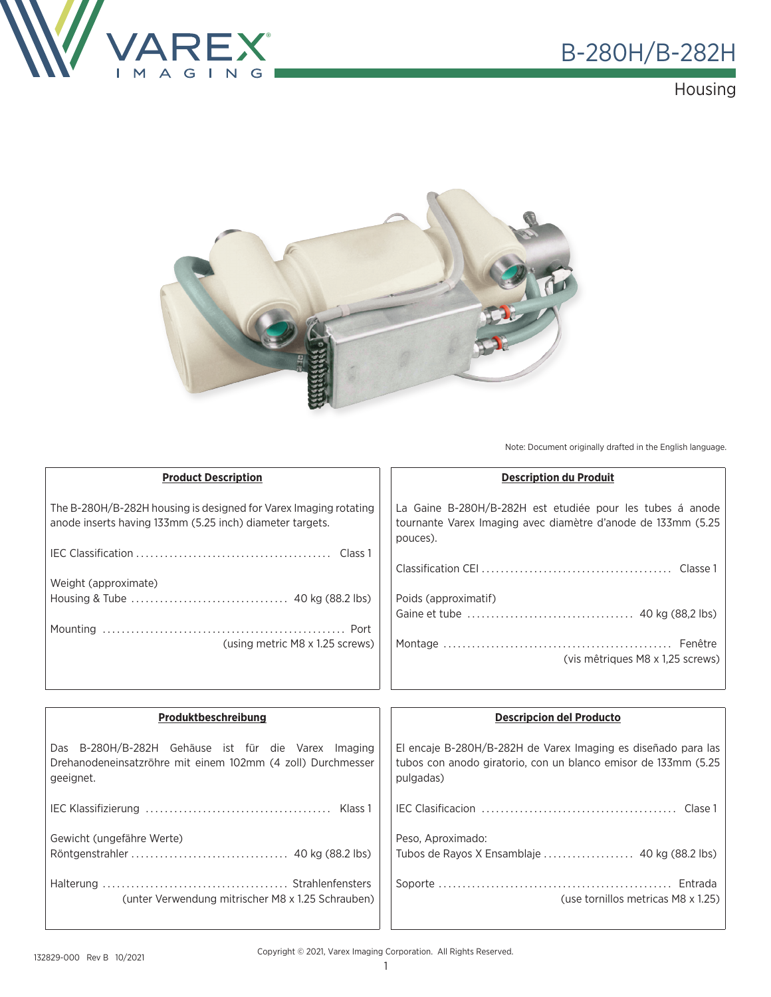

#### **Housing**



Note: Document originally drafted in the English language.

| <b>Product Description</b>                                                                                                   | <b>Description du Produit</b>                                                                                                         |
|------------------------------------------------------------------------------------------------------------------------------|---------------------------------------------------------------------------------------------------------------------------------------|
| The B-280H/B-282H housing is designed for Varex Imaging rotating<br>anode inserts having 133mm (5.25 inch) diameter targets. | La Gaine B-280H/B-282H est etudiée pour les tubes á anode<br>tournante Varex Imaging avec diamètre d'anode de 133mm (5.25<br>pouces). |
|                                                                                                                              |                                                                                                                                       |
| Weight (approximate)                                                                                                         |                                                                                                                                       |
|                                                                                                                              | Poids (approximatif)                                                                                                                  |
|                                                                                                                              |                                                                                                                                       |
| (using metric M8 x 1.25 screws)                                                                                              |                                                                                                                                       |
|                                                                                                                              | (vis mêtriques M8 x 1.25 screws)                                                                                                      |
|                                                                                                                              |                                                                                                                                       |

| <b>Descripcion del Producto</b>                                                                                                              |
|----------------------------------------------------------------------------------------------------------------------------------------------|
| El encaje B-280H/B-282H de Varex Imaging es diseñado para las<br>tubos con anodo giratorio, con un blanco emisor de 133mm (5.25<br>pulgadas) |
|                                                                                                                                              |
| Peso, Aproximado:                                                                                                                            |
| (use tornillos metricas M8 x 1.25)                                                                                                           |
|                                                                                                                                              |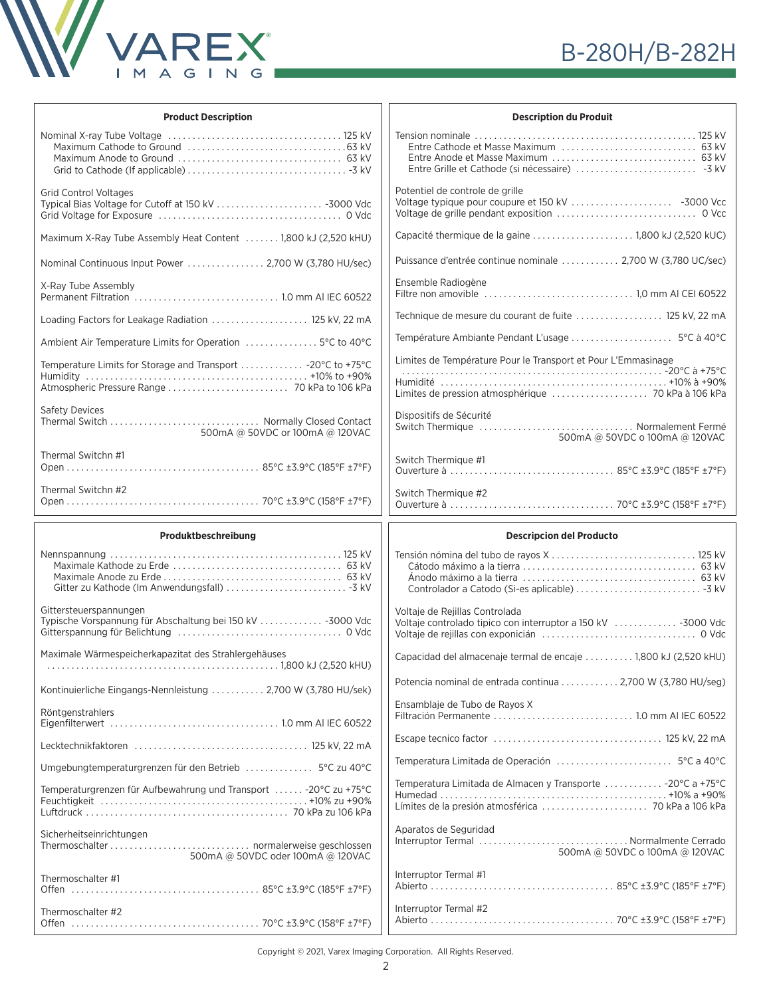

| <b>Product Description</b>                                                           | <b>Description du Produit</b>                                                                      |  |  |  |  |
|--------------------------------------------------------------------------------------|----------------------------------------------------------------------------------------------------|--|--|--|--|
|                                                                                      |                                                                                                    |  |  |  |  |
| <b>Grid Control Voltages</b>                                                         | Potentiel de controle de grille                                                                    |  |  |  |  |
| Maximum X-Ray Tube Assembly Heat Content  1,800 kJ (2,520 kHU)                       |                                                                                                    |  |  |  |  |
| Nominal Continuous Input Power  2,700 W (3,780 HU/sec)                               | Puissance d'entrée continue nominale  2,700 W (3,780 UC/sec)                                       |  |  |  |  |
| X-Ray Tube Assembly                                                                  | Ensemble Radiogène                                                                                 |  |  |  |  |
| Loading Factors for Leakage Radiation  125 kV, 22 mA                                 | Technique de mesure du courant de fuite  125 kV, 22 mA                                             |  |  |  |  |
| Ambient Air Temperature Limits for Operation 5°C to 40°C                             |                                                                                                    |  |  |  |  |
| Temperature Limits for Storage and Transport  -20°C to +75°C                         | Limites de Température Pour le Transport et Pour L'Emmasinage                                      |  |  |  |  |
| <b>Safety Devices</b><br>500mA @ 50VDC or 100mA @ 120VAC                             | Dispositifs de Sécurité<br>Switch Thermique  Normalement Fermé<br>500mA @ 50VDC o 100mA @ 120VAC   |  |  |  |  |
| Thermal Switchn #1                                                                   | Switch Thermique #1                                                                                |  |  |  |  |
| Thermal Switchn #2<br>the control of the control of the control of the control of    | Switch Thermique #2                                                                                |  |  |  |  |
|                                                                                      |                                                                                                    |  |  |  |  |
| Produktbeschreibung                                                                  | <b>Descripcion del Producto</b>                                                                    |  |  |  |  |
|                                                                                      |                                                                                                    |  |  |  |  |
| Gittersteuerspannungen<br>Typische Vorspannung für Abschaltung bei 150 kV  -3000 Vdc | Voltaje de Rejillas Controlada<br>Voltaje controlado tipico con interruptor a 150 kV  -3000 Vdc    |  |  |  |  |
| Maximale Wärmespeicherkapazitat des Strahlergehäuses                                 | Capacidad del almacenaje termal de encaje 1,800 kJ (2,520 kHU)                                     |  |  |  |  |
| Kontinuierliche Eingangs-Nennleistung  2,700 W (3,780 HU/sek)                        | Potencia nominal de entrada continua  2,700 W (3,780 HU/seg)                                       |  |  |  |  |
| Röntgenstrahlers                                                                     | Ensamblaje de Tubo de Rayos X                                                                      |  |  |  |  |
|                                                                                      |                                                                                                    |  |  |  |  |
| Umgebungtemperaturgrenzen für den Betrieb  5°C zu 40°C                               |                                                                                                    |  |  |  |  |
| Temperaturgrenzen für Aufbewahrung und Transport  - 20°C zu +75°C                    | Temperatura Limitada de Almacen y Transporte  - 20°C a +75°C                                       |  |  |  |  |
| Sicherheitseinrichtungen<br>500mA @ 50VDC oder 100mA @ 120VAC                        | Aparatos de Seguridad<br>Interruptor Termal  Normalmente Cerrado<br>500mA @ 50VDC o 100mA @ 120VAC |  |  |  |  |
| Thermoschalter #1                                                                    | Interruptor Termal #1                                                                              |  |  |  |  |

 $\mathbb{H}$ 

Copyright © 2021, Varex Imaging Corporation. All Rights Reserved.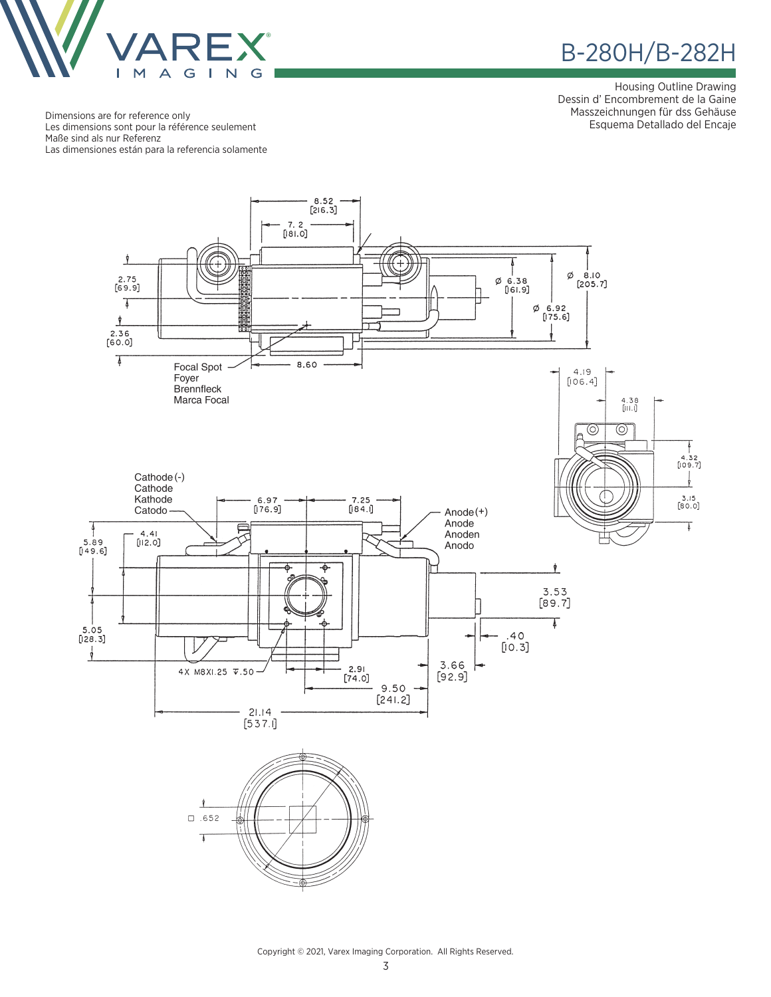

Housing Outline Drawing Dessin d' Encombrement de la Gaine Masszeichnungen für dss Gehäuse Esquema Detallado del Encaje

Dimensions are for reference only Les dimensions sont pour la référence seulement Maße sind als nur Referenz Las dimensiones están para la referencia solamente



Copyright © 2021, Varex Imaging Corporation. All Rights Reserved.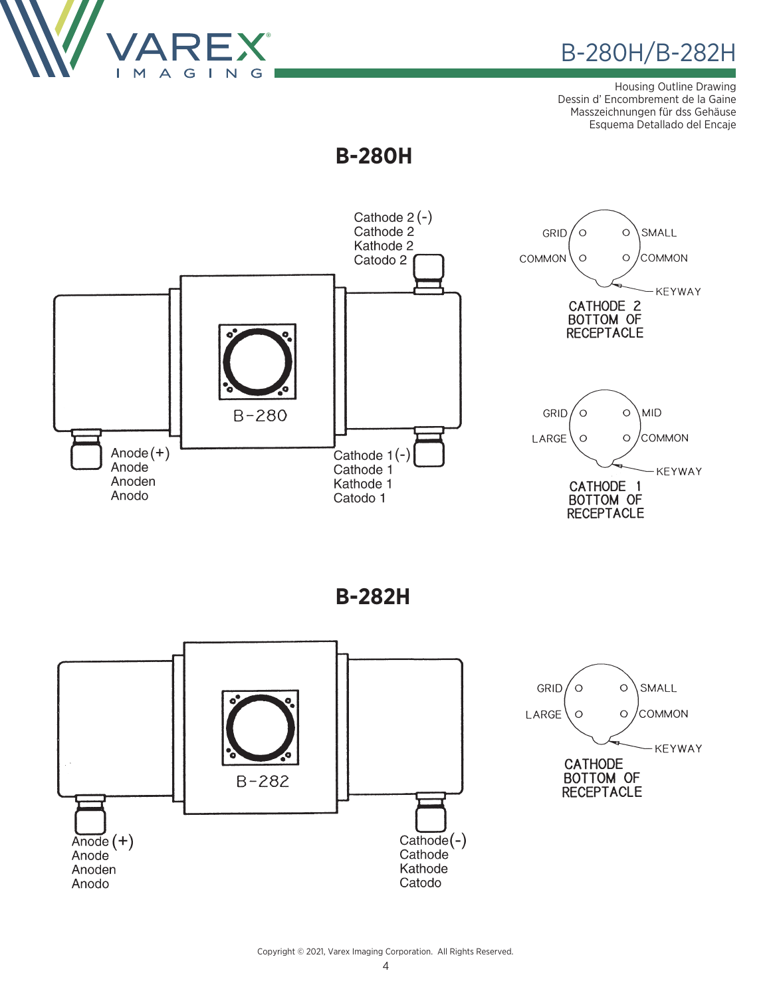

Housing Outline Drawing Dessin d' Encombrement de la Gaine Masszeichnungen für dss Gehäuse Esquema Detallado del Encaje

**B-280H**



**B-282H**

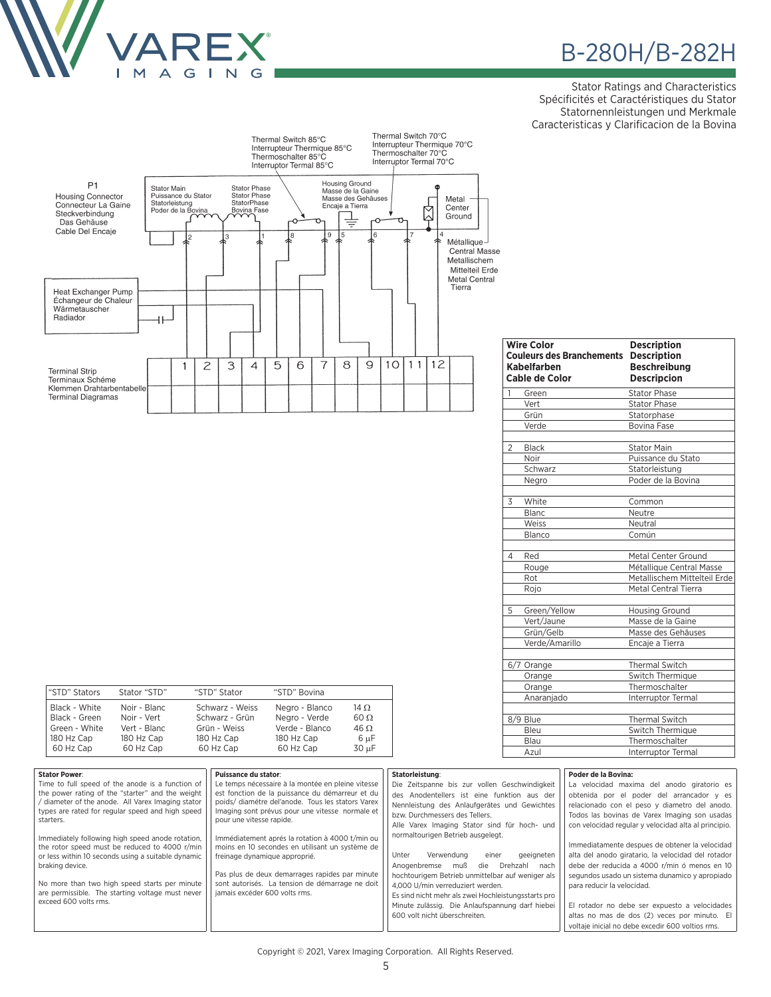

Stator Ratings and Characteristics Spécificités et Caractéristiques du Stator Statornennleistungen und Merkmale Caracteristicas y Clarificacion de la Bovina

|                                                                                                                         |             |                                                                              |   |   |                                                                          |   | Thermal Switch 85°C<br>Interrupteur Thermique 85°C<br>Thermoschalter 85°C<br>Interruptor Termal 85°C |                   |                                                                           |                                     |                 |    | Thermal Switch 70°C<br>Thermoschalter 70°C<br>Interruptor Termal 70°C | Interrupteur Thermique 70°C                                |                                         |
|-------------------------------------------------------------------------------------------------------------------------|-------------|------------------------------------------------------------------------------|---|---|--------------------------------------------------------------------------|---|------------------------------------------------------------------------------------------------------|-------------------|---------------------------------------------------------------------------|-------------------------------------|-----------------|----|-----------------------------------------------------------------------|------------------------------------------------------------|-----------------------------------------|
| P <sub>1</sub><br><b>Housing Connector</b><br>Connecteur La Gaine<br>Steckverbindung<br>Das Gehäuse<br>Cable Del Encaje | Stator Main | Puissance du Stator<br>Statorleistung<br>Poder de la Bovina<br>$\frac{1}{2}$ |   | 3 | <b>Stator Phase</b><br><b>Stator Phase</b><br>StatorPhase<br>Bovina Fase |   | 8                                                                                                    | $\overline{\ast}$ | Housing Ground<br>Masse de la Gaine<br>Encaje a Tierra<br>₹<br>$\sqrt{5}$ | Masse des Gehäuses<br>᠊ᡐ<br>$\,6\,$ |                 | 7  |                                                                       | Metal<br>Center<br>Ground<br>$\overline{4}$<br>Métallique- | Central Masse<br>Metallischem           |
| Heat Exchanger Pump<br>Échangeur de Chaleur<br>Wärmetauscher<br>Radiador                                                | 11          |                                                                              |   |   |                                                                          |   |                                                                                                      |                   |                                                                           |                                     |                 |    |                                                                       | Tierra                                                     | Mittelteil Erde<br><b>Metal Central</b> |
| <b>Terminal Strip</b><br>Terminaux Schéme<br>Klemmen Drahtarbentabelle<br><b>Terminal Diagramas</b>                     |             |                                                                              | 2 | 3 | 4                                                                        | 5 | 6                                                                                                    | $\overline{7}$    | 8                                                                         | 9                                   | 10 <sup>°</sup> | 11 |                                                                       | 12                                                         |                                         |
|                                                                                                                         |             |                                                                              |   |   |                                                                          |   |                                                                                                      |                   |                                                                           |                                     |                 |    |                                                                       |                                                            |                                         |

|                | <b>Wire Color</b><br><b>Couleurs des Branchements</b><br>Kabelfarben<br><b>Cable de Color</b> | <b>Description</b><br><b>Description</b><br><b>Beschreibung</b><br><b>Descripcion</b> |
|----------------|-----------------------------------------------------------------------------------------------|---------------------------------------------------------------------------------------|
| 1              | Green                                                                                         | <b>Stator Phase</b>                                                                   |
|                | Vert                                                                                          | <b>Stator Phase</b>                                                                   |
|                | Grün                                                                                          | Statorphase                                                                           |
|                | Verde                                                                                         | <b>Bovina Fase</b>                                                                    |
| $\overline{2}$ | <b>Black</b>                                                                                  | <b>Stator Main</b>                                                                    |
|                | Noir                                                                                          | Puissance du Stato                                                                    |
|                | Schwarz                                                                                       | Statorleistung                                                                        |
|                | Negro                                                                                         | Poder de la Bovina                                                                    |
| 3              | White                                                                                         | Common                                                                                |
|                | <b>Blanc</b>                                                                                  | Neutre                                                                                |
|                | Weiss                                                                                         | Neutral                                                                               |
|                | Blanco                                                                                        | Común                                                                                 |
| 4              | Red                                                                                           | Metal Center Ground                                                                   |
|                | Rouge                                                                                         | Métallique Central Masse                                                              |
|                | Rot                                                                                           | Metallischem Mittelteil Erde                                                          |
|                | Rojo                                                                                          | Metal Central Tierra                                                                  |
| 5              | Green/Yellow                                                                                  | Housing Ground                                                                        |
|                | Vert/Jaune                                                                                    | Masse de la Gaine                                                                     |
|                | Grün/Gelb                                                                                     | Masse des Gehäuses                                                                    |
|                | Verde/Amarillo                                                                                | Encaje a Tierra                                                                       |
|                | 6/7 Orange                                                                                    | <b>Thermal Switch</b>                                                                 |
|                | Orange                                                                                        | Switch Thermique                                                                      |
|                | Orange                                                                                        | Thermoschalter                                                                        |
|                | Anaranjado                                                                                    | Interruptor Termal                                                                    |
|                | 8/9 Blue                                                                                      | <b>Thermal Switch</b>                                                                 |
|                | Bleu                                                                                          | Switch Thermique                                                                      |
|                | Blau                                                                                          | Thermoschalter                                                                        |
|                | Azul                                                                                          | Interruptor Termal                                                                    |

| "STD" Stators | Stator "STD" | "STD" Stator    | "STD" Bovina   |             |
|---------------|--------------|-----------------|----------------|-------------|
| Black - White | Noir - Blanc | Schwarz - Weiss | Negro - Blanco | 14 $\Omega$ |
| Black - Green | Noir - Vert  | Schwarz - Grün  | Negro - Verde  | $60\Omega$  |
| Green - White | Vert - Blanc | Grün - Weiss    | Verde - Blanco | $46 \Omega$ |
| 180 Hz Cap    | 180 Hz Cap   | 180 Hz Cap      | 180 Hz Cap     | 6 µF        |
| 60 Hz Cap     | 60 Hz Cap    | 60 Hz Cap       | 60 Hz Cap      | 30 uF       |
|               |              |                 |                |             |

| <b>Stator Power:</b><br>Time to full speed of the anode is a function of<br>the power rating of the "starter" and the weight<br>diameter of the anode. All Varex Imaging stator<br>types are rated for regular speed and high speed<br>starters.<br>Immediately following high speed anode rotation,<br>the rotor speed must be reduced to 4000 r/min<br>or less within 10 seconds using a suitable dynamic<br>braking device.<br>No more than two high speed starts per minute<br>are permissible. The starting voltage must never<br>exceed 600 volts rms. | Puissance du stator:<br>Le temps nécessaire à la montée en pleine vitesse<br>est fonction de la puissance du démarreur et du<br>poids/diamétre del'anode. Tous les stators Varex<br>Imaging sont prévus pour une vitesse normale et<br>pour une vitesse rapide.<br>Immédiatement aprés la rotation à 4000 t/min ou<br>moins en 10 secondes en utilisant un système de<br>freinage dynamique approprié.<br>Pas plus de deux demarrages rapides par minute<br>sont autorisés. La tension de démarrage ne doit<br>jamais excéder 600 volts rms. | Statorleistung:<br>Die Zeitspanne bis zur vollen Geschwindigkeit<br>des Anodentellers ist eine funktion aus der<br>Nennleistung des Anlaufgerätes und Gewichtes<br>bzw. Durchmessers des Tellers.<br>Alle Varex Imaging Stator sind für hoch- und<br>normaltourigen Betrieb ausgelegt.<br>Unter<br>Verwendung<br>einer<br>geeigneten<br>Anogenbremse muß<br>Drehzahl<br>die<br>nach<br>hochtourigem Betrieb unmittelbar auf weniger als<br>4.000 U/min verreduziert werden.<br>Es sind nicht mehr als zwei Hochleistungsstarts pro<br>Minute zulässig. Die Anlaufspannung darf hiebei<br>600 volt nicht überschreiten. | Poder de la Bovina:<br>La velocidad maxima del anodo giratorio es<br>obtenida por el poder del arrancador y es<br>relacionado con el peso y diametro del anodo.<br>Todos las bovinas de Varex Imaging son usadas<br>con velocidad regular y velocidad alta al principio.<br>Immediatamente despues de obtener la velocidad<br>alta del anodo giratario, la velocidad del rotador<br>debe der reducida a 4000 r/min ó menos en 10<br>segundos usado un sistema dunamico y apropiado<br>para reducir la velocidad.<br>El rotador no debe ser expuesto a velocidades<br>altas no mas de dos (2) veces por minuto. El |
|--------------------------------------------------------------------------------------------------------------------------------------------------------------------------------------------------------------------------------------------------------------------------------------------------------------------------------------------------------------------------------------------------------------------------------------------------------------------------------------------------------------------------------------------------------------|----------------------------------------------------------------------------------------------------------------------------------------------------------------------------------------------------------------------------------------------------------------------------------------------------------------------------------------------------------------------------------------------------------------------------------------------------------------------------------------------------------------------------------------------|------------------------------------------------------------------------------------------------------------------------------------------------------------------------------------------------------------------------------------------------------------------------------------------------------------------------------------------------------------------------------------------------------------------------------------------------------------------------------------------------------------------------------------------------------------------------------------------------------------------------|-------------------------------------------------------------------------------------------------------------------------------------------------------------------------------------------------------------------------------------------------------------------------------------------------------------------------------------------------------------------------------------------------------------------------------------------------------------------------------------------------------------------------------------------------------------------------------------------------------------------|
|                                                                                                                                                                                                                                                                                                                                                                                                                                                                                                                                                              |                                                                                                                                                                                                                                                                                                                                                                                                                                                                                                                                              |                                                                                                                                                                                                                                                                                                                                                                                                                                                                                                                                                                                                                        | voltaie inicial no debe excedir 600 voltios rms.                                                                                                                                                                                                                                                                                                                                                                                                                                                                                                                                                                  |